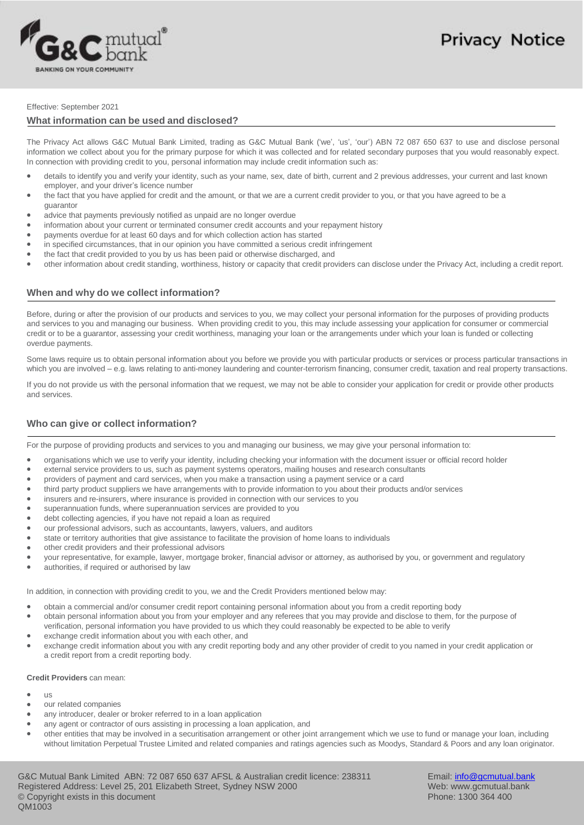

# **Privacy Notice**

#### Effective: September 2021

### **What information can be used and disclosed?**

The Privacy Act allows G&C Mutual Bank Limited, trading as G&C Mutual Bank ('we', 'us', 'our') ABN 72 087 650 637 to use and disclose personal information we collect about you for the primary purpose for which it was collected and for related secondary purposes that you would reasonably expect. In connection with providing credit to you, personal information may include credit information such as:

- details to identify you and verify your identity, such as your name, sex, date of birth, current and 2 previous addresses, your current and last known employer, and your driver's licence number
- ò the fact that you have applied for credit and the amount, or that we are a current credit provider to you, or that you have agreed to be a guarantor
- advice that payments previously notified as unpaid are no longer overdue
- information about your current or terminated consumer credit accounts and your repayment history ٠
- payments overdue for at least 60 days and for which collection action has started
- in specified circumstances, that in our opinion you have committed a serious credit infringement
- $\bullet$ the fact that credit provided to you by us has been paid or otherwise discharged, and
- other information about credit standing, worthiness, history or capacity that credit providers can disclose under the Privacy Act, including a credit report.

## **When and why do we collect information?**

Before, during or after the provision of our products and services to you, we may collect your personal information for the purposes of providing products and services to you and managing our business. When providing credit to you, this may include assessing your application for consumer or commercial credit or to be a guarantor, assessing your credit worthiness, managing your loan or the arrangements under which your loan is funded or collecting overdue payments.

Some laws require us to obtain personal information about you before we provide you with particular products or services or process particular transactions in which you are involved - e.g. laws relating to anti-money laundering and counter-terrorism financing, consumer credit, taxation and real property transactions.

If you do not provide us with the personal information that we request, we may not be able to consider your application for credit or provide other products and services.

# **Who can give or collect information?**

For the purpose of providing products and services to you and managing our business, we may give your personal information to:

- $\bullet$ organisations which we use to verify your identity, including checking your information with the document issuer or official record holder
- $\bullet$ external service providers to us, such as payment systems operators, mailing houses and research consultants
- $\bullet$ providers of payment and card services, when you make a transaction using a payment service or a card
- $\bullet$ third party product suppliers we have arrangements with to provide information to you about their products and/or services
- insurers and re-insurers, where insurance is provided in connection with our services to you
- superannuation funds, where superannuation services are provided to you  $\bullet$
- $\bullet$ debt collecting agencies, if you have not repaid a loan as required
- $\bullet$ our professional advisors, such as accountants, lawyers, valuers, and auditors
- $\bullet$ state or territory authorities that give assistance to facilitate the provision of home loans to individuals
- other credit providers and their professional advisors
- $\blacksquare$ your representative, for example, lawyer, mortgage broker, financial advisor or attorney, as authorised by you, or government and regulatory
- $\bullet$ authorities, if required or authorised by law

In addition, in connection with providing credit to you, we and the Credit Providers mentioned below may:

- obtain a commercial and/or consumer credit report containing personal information about you from a credit reporting body
- obtain personal information about you from your employer and any referees that you may provide and disclose to them, for the purpose of verification, personal information you have provided to us which they could reasonably be expected to be able to verify
- exchange credit information about you with each other, and
- exchange credit information about you with any credit reporting body and any other provider of credit to you named in your credit application or a credit report from a credit reporting body.

#### **Credit Providers** can mean:

- ٠  $\overline{18}$
- our related companies
- any introducer, dealer or broker referred to in a loan application  $\bullet$
- any agent or contractor of ours assisting in processing a loan application, and
- $\bullet$ other entities that may be involved in a securitisation arrangement or other joint arrangement which we use to fund or manage your loan, including without limitation Perpetual Trustee Limited and related companies and ratings agencies such as Moodys, Standard & Poors and any loan originator.